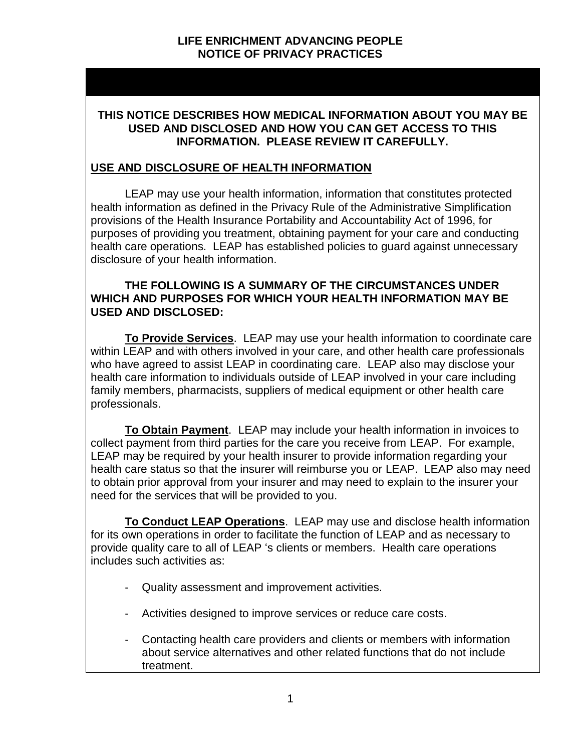### **THIS NOTICE DESCRIBES HOW MEDICAL INFORMATION ABOUT YOU MAY BE USED AND DISCLOSED AND HOW YOU CAN GET ACCESS TO THIS INFORMATION. PLEASE REVIEW IT CAREFULLY.**

### **USE AND DISCLOSURE OF HEALTH INFORMATION**

LEAP may use your health information, information that constitutes protected health information as defined in the Privacy Rule of the Administrative Simplification provisions of the Health Insurance Portability and Accountability Act of 1996, for purposes of providing you treatment, obtaining payment for your care and conducting health care operations. LEAP has established policies to guard against unnecessary disclosure of your health information.

#### **THE FOLLOWING IS A SUMMARY OF THE CIRCUMSTANCES UNDER WHICH AND PURPOSES FOR WHICH YOUR HEALTH INFORMATION MAY BE USED AND DISCLOSED:**

**To Provide Services**. LEAP may use your health information to coordinate care within LEAP and with others involved in your care, and other health care professionals who have agreed to assist LEAP in coordinating care. LEAP also may disclose your health care information to individuals outside of LEAP involved in your care including family members, pharmacists, suppliers of medical equipment or other health care professionals.

**To Obtain Payment**. LEAP may include your health information in invoices to collect payment from third parties for the care you receive from LEAP. For example, LEAP may be required by your health insurer to provide information regarding your health care status so that the insurer will reimburse you or LEAP. LEAP also may need to obtain prior approval from your insurer and may need to explain to the insurer your need for the services that will be provided to you.

**To Conduct LEAP Operations**. LEAP may use and disclose health information for its own operations in order to facilitate the function of LEAP and as necessary to provide quality care to all of LEAP 's clients or members. Health care operations includes such activities as:

- Quality assessment and improvement activities.
- Activities designed to improve services or reduce care costs.
- Contacting health care providers and clients or members with information about service alternatives and other related functions that do not include treatment.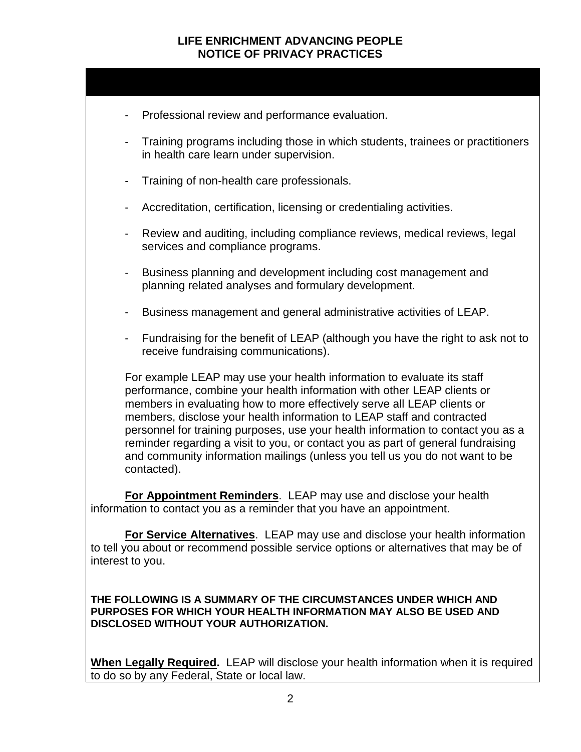|                                                                                                                                            |                              | Professional review and performance evaluation.                                                                                                                                                                                                                                                                                                                                                                                                                                                                                                                               |  |
|--------------------------------------------------------------------------------------------------------------------------------------------|------------------------------|-------------------------------------------------------------------------------------------------------------------------------------------------------------------------------------------------------------------------------------------------------------------------------------------------------------------------------------------------------------------------------------------------------------------------------------------------------------------------------------------------------------------------------------------------------------------------------|--|
|                                                                                                                                            |                              | Training programs including those in which students, trainees or practitioners<br>in health care learn under supervision.                                                                                                                                                                                                                                                                                                                                                                                                                                                     |  |
|                                                                                                                                            | $\qquad \qquad \blacksquare$ | Training of non-health care professionals.                                                                                                                                                                                                                                                                                                                                                                                                                                                                                                                                    |  |
|                                                                                                                                            | $\overline{\phantom{a}}$     | Accreditation, certification, licensing or credentialing activities.                                                                                                                                                                                                                                                                                                                                                                                                                                                                                                          |  |
|                                                                                                                                            |                              | Review and auditing, including compliance reviews, medical reviews, legal<br>services and compliance programs.                                                                                                                                                                                                                                                                                                                                                                                                                                                                |  |
|                                                                                                                                            | $\qquad \qquad \blacksquare$ | Business planning and development including cost management and<br>planning related analyses and formulary development.                                                                                                                                                                                                                                                                                                                                                                                                                                                       |  |
|                                                                                                                                            | $\overline{\phantom{a}}$     | Business management and general administrative activities of LEAP.                                                                                                                                                                                                                                                                                                                                                                                                                                                                                                            |  |
|                                                                                                                                            | $\overline{\phantom{a}}$     | Fundraising for the benefit of LEAP (although you have the right to ask not to<br>receive fundraising communications).                                                                                                                                                                                                                                                                                                                                                                                                                                                        |  |
|                                                                                                                                            |                              | For example LEAP may use your health information to evaluate its staff<br>performance, combine your health information with other LEAP clients or<br>members in evaluating how to more effectively serve all LEAP clients or<br>members, disclose your health information to LEAP staff and contracted<br>personnel for training purposes, use your health information to contact you as a<br>reminder regarding a visit to you, or contact you as part of general fundraising<br>and community information mailings (unless you tell us you do not want to be<br>contacted). |  |
| For Appointment Reminders. LEAP may use and disclose your health<br>information to contact you as a reminder that you have an appointment. |                              |                                                                                                                                                                                                                                                                                                                                                                                                                                                                                                                                                                               |  |
|                                                                                                                                            |                              |                                                                                                                                                                                                                                                                                                                                                                                                                                                                                                                                                                               |  |

**For Service Alternatives**. LEAP may use and disclose your health information to tell you about or recommend possible service options or alternatives that may be of interest to you.

**THE FOLLOWING IS A SUMMARY OF THE CIRCUMSTANCES UNDER WHICH AND PURPOSES FOR WHICH YOUR HEALTH INFORMATION MAY ALSO BE USED AND DISCLOSED WITHOUT YOUR AUTHORIZATION.**

**When Legally Required.** LEAP will disclose your health information when it is required to do so by any Federal, State or local law.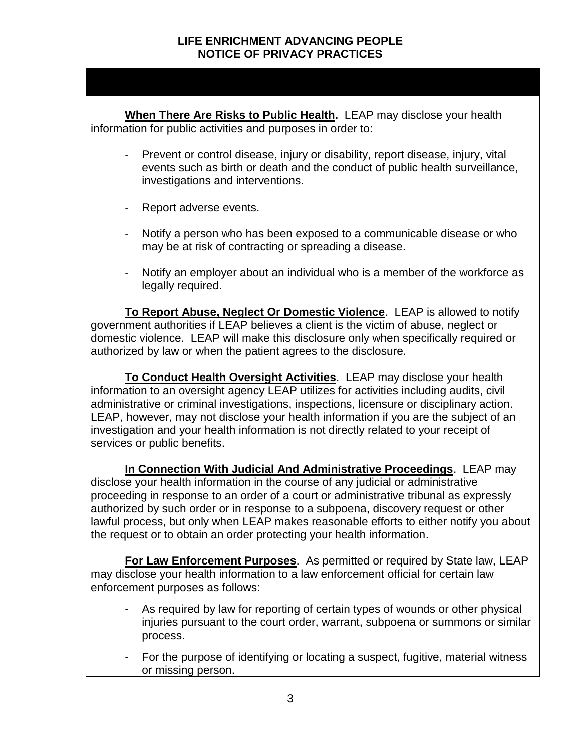**When There Are Risks to Public Health.** LEAP may disclose your health information for public activities and purposes in order to:

- Prevent or control disease, injury or disability, report disease, injury, vital events such as birth or death and the conduct of public health surveillance, investigations and interventions.
- Report adverse events.
- Notify a person who has been exposed to a communicable disease or who may be at risk of contracting or spreading a disease.
- Notify an employer about an individual who is a member of the workforce as legally required.

**To Report Abuse, Neglect Or Domestic Violence**. LEAP is allowed to notify government authorities if LEAP believes a client is the victim of abuse, neglect or domestic violence. LEAP will make this disclosure only when specifically required or authorized by law or when the patient agrees to the disclosure.

**To Conduct Health Oversight Activities**. LEAP may disclose your health information to an oversight agency LEAP utilizes for activities including audits, civil administrative or criminal investigations, inspections, licensure or disciplinary action. LEAP, however, may not disclose your health information if you are the subject of an investigation and your health information is not directly related to your receipt of services or public benefits.

**In Connection With Judicial And Administrative Proceedings**. LEAP may disclose your health information in the course of any judicial or administrative proceeding in response to an order of a court or administrative tribunal as expressly authorized by such order or in response to a subpoena, discovery request or other lawful process, but only when LEAP makes reasonable efforts to either notify you about the request or to obtain an order protecting your health information.

**For Law Enforcement Purposes**. As permitted or required by State law, LEAP may disclose your health information to a law enforcement official for certain law enforcement purposes as follows:

- As required by law for reporting of certain types of wounds or other physical injuries pursuant to the court order, warrant, subpoena or summons or similar process.
- For the purpose of identifying or locating a suspect, fugitive, material witness or missing person.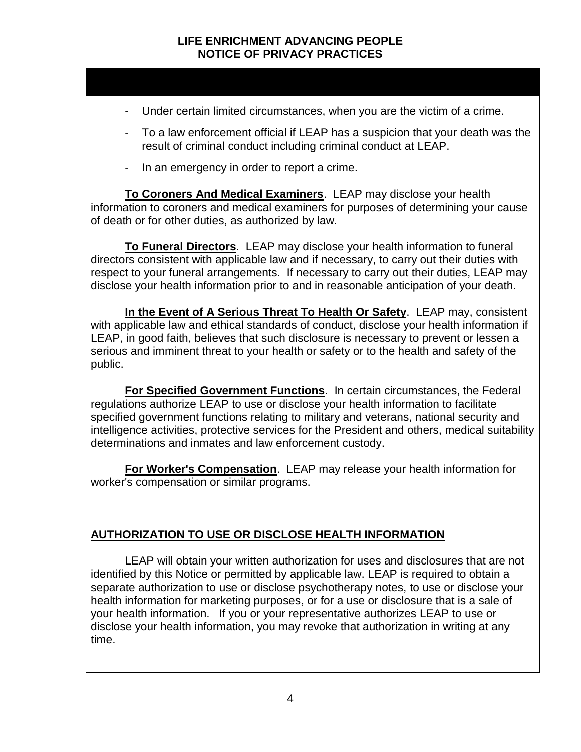- Under certain limited circumstances, when you are the victim of a crime.
- To a law enforcement official if LEAP has a suspicion that your death was the result of criminal conduct including criminal conduct at LEAP.
- In an emergency in order to report a crime.

**To Coroners And Medical Examiners**. LEAP may disclose your health information to coroners and medical examiners for purposes of determining your cause of death or for other duties, as authorized by law.

**To Funeral Directors**. LEAP may disclose your health information to funeral directors consistent with applicable law and if necessary, to carry out their duties with respect to your funeral arrangements. If necessary to carry out their duties, LEAP may disclose your health information prior to and in reasonable anticipation of your death.

**In the Event of A Serious Threat To Health Or Safety**. LEAP may, consistent with applicable law and ethical standards of conduct, disclose your health information if LEAP, in good faith, believes that such disclosure is necessary to prevent or lessen a serious and imminent threat to your health or safety or to the health and safety of the public.

**For Specified Government Functions**. In certain circumstances, the Federal regulations authorize LEAP to use or disclose your health information to facilitate specified government functions relating to military and veterans, national security and intelligence activities, protective services for the President and others, medical suitability determinations and inmates and law enforcement custody.

**For Worker's Compensation**. LEAP may release your health information for worker's compensation or similar programs.

# **AUTHORIZATION TO USE OR DISCLOSE HEALTH INFORMATION**

LEAP will obtain your written authorization for uses and disclosures that are not identified by this Notice or permitted by applicable law. LEAP is required to obtain a separate authorization to use or disclose psychotherapy notes, to use or disclose your health information for marketing purposes, or for a use or disclosure that is a sale of your health information. If you or your representative authorizes LEAP to use or disclose your health information, you may revoke that authorization in writing at any time.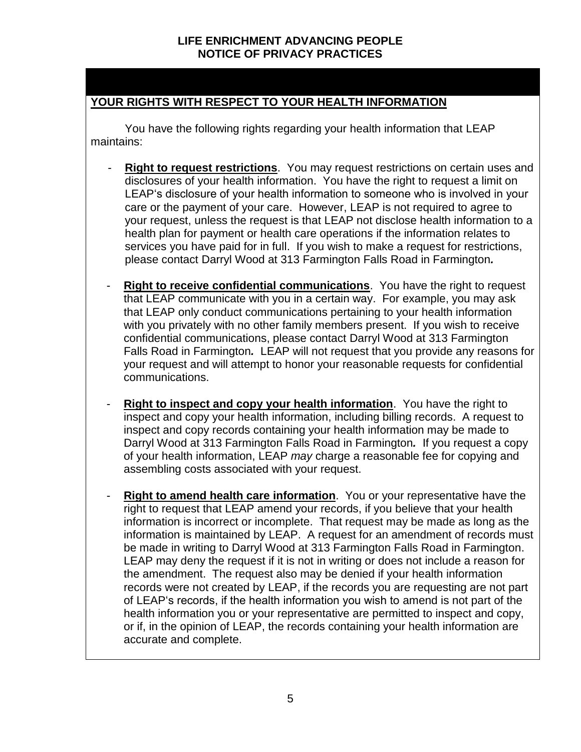# **YOUR RIGHTS WITH RESPECT TO YOUR HEALTH INFORMATION**

You have the following rights regarding your health information that LEAP maintains:

- **Right to request restrictions**. You may request restrictions on certain uses and disclosures of your health information. You have the right to request a limit on LEAP's disclosure of your health information to someone who is involved in your care or the payment of your care. However, LEAP is not required to agree to your request, unless the request is that LEAP not disclose health information to a health plan for payment or health care operations if the information relates to services you have paid for in full. If you wish to make a request for restrictions, please contact Darryl Wood at 313 Farmington Falls Road in Farmington*.*
- **Right to receive confidential communications**. You have the right to request that LEAP communicate with you in a certain way. For example, you may ask that LEAP only conduct communications pertaining to your health information with you privately with no other family members present. If you wish to receive confidential communications, please contact Darryl Wood at 313 Farmington Falls Road in Farmington*.* LEAP will not request that you provide any reasons for your request and will attempt to honor your reasonable requests for confidential communications.
- **Right to inspect and copy your health information.** You have the right to inspect and copy your health information, including billing records. A request to inspect and copy records containing your health information may be made to Darryl Wood at 313 Farmington Falls Road in Farmington*.* If you request a copy of your health information, LEAP *may* charge a reasonable fee for copying and assembling costs associated with your request.
- **Right to amend health care information**. You or your representative have the right to request that LEAP amend your records, if you believe that your health information is incorrect or incomplete. That request may be made as long as the information is maintained by LEAP. A request for an amendment of records must be made in writing to Darryl Wood at 313 Farmington Falls Road in Farmington. LEAP may deny the request if it is not in writing or does not include a reason for the amendment. The request also may be denied if your health information records were not created by LEAP, if the records you are requesting are not part of LEAP's records, if the health information you wish to amend is not part of the health information you or your representative are permitted to inspect and copy, or if, in the opinion of LEAP, the records containing your health information are accurate and complete.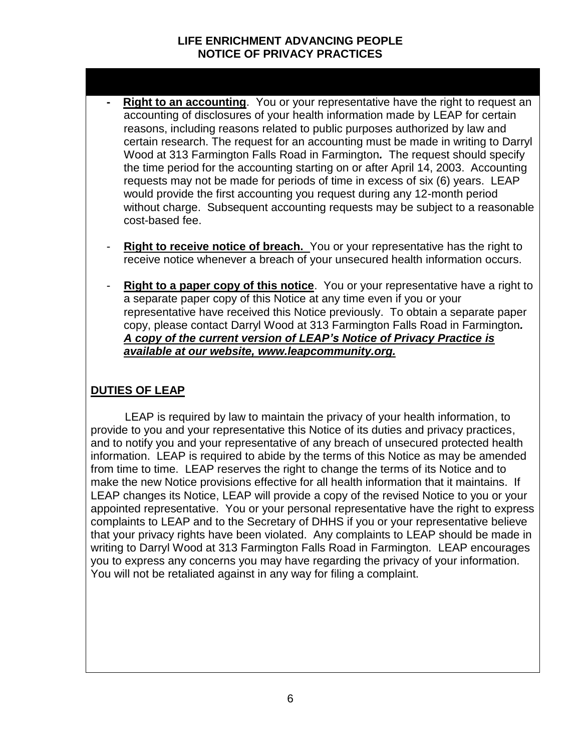- **Right to an accounting**. You or your representative have the right to request an accounting of disclosures of your health information made by LEAP for certain reasons, including reasons related to public purposes authorized by law and certain research. The request for an accounting must be made in writing to Darryl Wood at 313 Farmington Falls Road in Farmington*.* The request should specify the time period for the accounting starting on or after April 14, 2003. Accounting requests may not be made for periods of time in excess of six (6) years. LEAP would provide the first accounting you request during any 12-month period without charge. Subsequent accounting requests may be subject to a reasonable cost-based fee.
- **Right to receive notice of breach.** You or your representative has the right to receive notice whenever a breach of your unsecured health information occurs.
- **Right to a paper copy of this notice**. You or your representative have a right to a separate paper copy of this Notice at any time even if you or your representative have received this Notice previously. To obtain a separate paper copy, please contact Darryl Wood at 313 Farmington Falls Road in Farmington*. A copy of the current version of LEAP's Notice of Privacy Practice is available at our website, www.leapcommunity.org.*

### **DUTIES OF LEAP**

LEAP is required by law to maintain the privacy of your health information, to provide to you and your representative this Notice of its duties and privacy practices, and to notify you and your representative of any breach of unsecured protected health information. LEAP is required to abide by the terms of this Notice as may be amended from time to time. LEAP reserves the right to change the terms of its Notice and to make the new Notice provisions effective for all health information that it maintains. If LEAP changes its Notice, LEAP will provide a copy of the revised Notice to you or your appointed representative. You or your personal representative have the right to express complaints to LEAP and to the Secretary of DHHS if you or your representative believe that your privacy rights have been violated. Any complaints to LEAP should be made in writing to Darryl Wood at 313 Farmington Falls Road in Farmington*.* LEAP encourages you to express any concerns you may have regarding the privacy of your information. You will not be retaliated against in any way for filing a complaint.